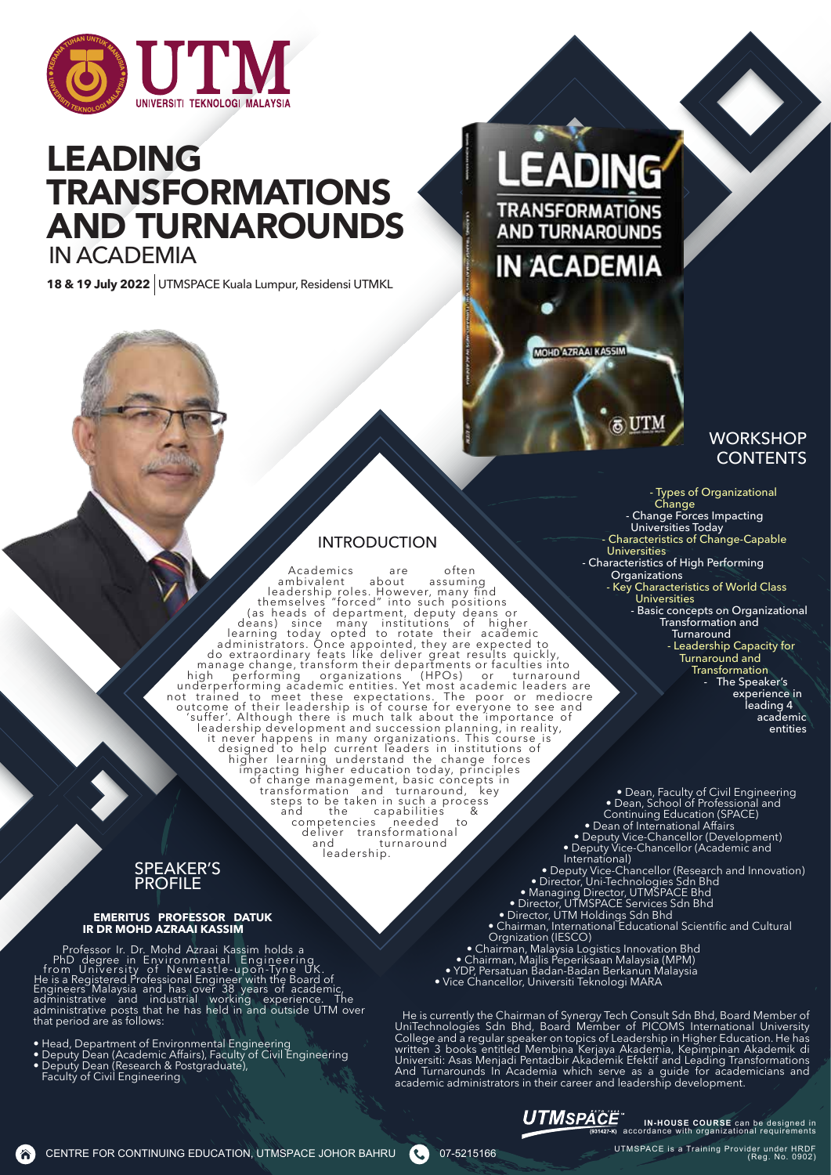

## LEADING TRANSFORMATIONS AND TURNAROUNDS IN ACADEMIA

**18 & 19 July 2022** UTMSPACE Kuala Lumpur, Residensi UTMKL

# EADING

TRANSFORMATIONS **AND TURNAROUNDS IN ACADEMIA** 



## **WORKSHOP CONTENTS**

## **INTRODUCTION**

Academics are often<br>
leadership roles. However, many find<br>
leadership roles. However, many find<br>
themselves "forced" into such positions<br>
(as heads of department, deputy deans or<br>
deaming today opted to orbite heir academi 'suffer'. Although there is much talk about the importance of leadership development and succession planning, in reality, it never happens in many organizations. This course is designed to help current leaders in instituti impacting higher education today, principles of change management, basic concepts in transformation and turnaround, key steps to be taken in such a process and the capabilities & competencies needed to deliver transformational and turnaround

leadership.

- Change Forces Impacting Universities Today - Characteristics of Change-Capable Universities - Characteristics of High Performing **Organizations** - Key Characteristics of World Class Universities - Basic concepts on Organizational Transformation and **Turnaround** - Leadership Capacity for Turnaround and **Transformation** The Speaker's experience in leading 4 academic entities

- Types of Organizational

Change

SPEAKER'S PROFILE

#### **EMERITUS PROFESSOR DATUK IR DR MOHD AZRAAI KASSIM**

Professor Ir. Dr. Mohd Azraai Kassim holds a<br>PhD degree in Environmental Engineering<br>from University of Newcastle-upon-Tyne UK.<br>He is a Registered Professional Engineer with the Board of<br>Engineers Malaysia and has over 38 administrative posts that he has held in and outside UTM over that period are as follows:

- Head, Department of Environmental Engineering
- Deputy Dean (Academic Affairs), Faculty of Civil Engineering
- Deputy Dean (Research & Postgraduate),

(a)

Faculty of Civil Engineering

• Dean, Faculty of Civil Engineering • Dean, School of Professional and Continuing Education (SPACE) • Dean of International Affairs • Deputy Vice-Chancellor (Development) • Deputy Vice-Chancellor (Academic and International)

- Deputy Vice-Chancellor (Research and Innovation) • Director, Uni-Technologies Sdn Bhd • Managing Director, UTMSPACE Bhd
- Director, UTMSPACE Services Sdn Bhd
- Director, UTM Holdings Sdn Bhd • Chairman, International Educational Scientific and Cultural
- Orgnization (IESCO)
- Chairman, Malaysia Logistics Innovation Bhd
- Chairman, Majlis Peperiksaan Malaysia (MPM) • YDP, Persatuan Badan-Badan Berkanun Malaysia
- Vice Chancellor, Universiti Teknologi MARA

He is currently the Chairman of Synergy Tech Consult Sdn Bhd, Board Member of UniTechnologies Sdn Bhd, Board Member of PICOMS International University College and a regular speaker on topics of Leadership in Higher Education. He has written 3 books entitled Membina Kerjaya Akademia, Kepimpinan Akademik di Universiti: Asas Menjadi Pentadbir Akademik Efektif and Leading Transformations And Turnarounds In Academia which serve as a guide for academicians and academic administrators in their career and leadership development.



CENTRE FOR CONTINUING EDUCATION, UTMSPACE JOHOR BAHRU 07-5215166

UTMSPACE is a Training Provider under HRDF (Reg. No. 0902)